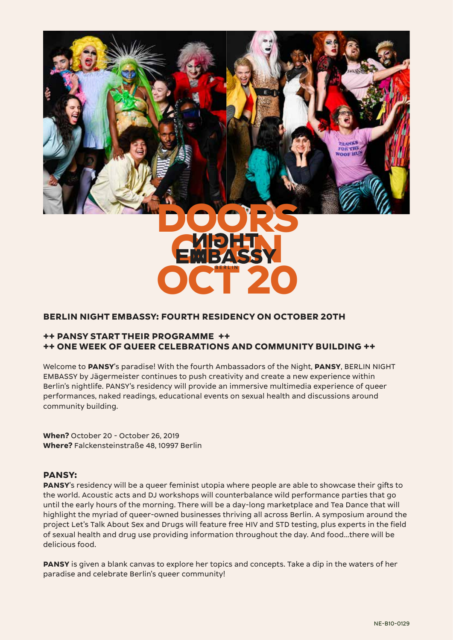

# **BERLIN NIGHT EMBASSY: FOURTH RESIDENCY ON OCTOBER 20TH**

## **++ PANSY START THEIR PROGRAMME ++ ++ ONE WEEK OF QUEER CELEBRATIONS AND COMMUNITY BUILDING ++**

Welcome to **PANSY**'s paradise! With the fourth Ambassadors of the Night, **PANSY**, BERLIN NIGHT EMBASSY by Jägermeister continues to push creativity and create a new experience within Berlin's nightlife. PANSY's residency will provide an immersive multimedia experience of queer performances, naked readings, educational events on sexual health and discussions around community building.

**When?** October 20 - October 26, 2019 **Where?** Falckensteinstraße 48, 10997 Berlin

#### **PANSY:**

**PANSY**'s residency will be a queer feminist utopia where people are able to showcase their gifts to the world. Acoustic acts and DJ workshops will counterbalance wild performance parties that go until the early hours of the morning. There will be a day-long marketplace and Tea Dance that will highlight the myriad of queer-owned businesses thriving all across Berlin. A symposium around the project Let's Talk About Sex and Drugs will feature free HIV and STD testing, plus experts in the field of sexual health and drug use providing information throughout the day. And food...there will be delicious food.

**PANSY** is given a blank canvas to explore her topics and concepts. Take a dip in the waters of her paradise and celebrate Berlin's queer community!